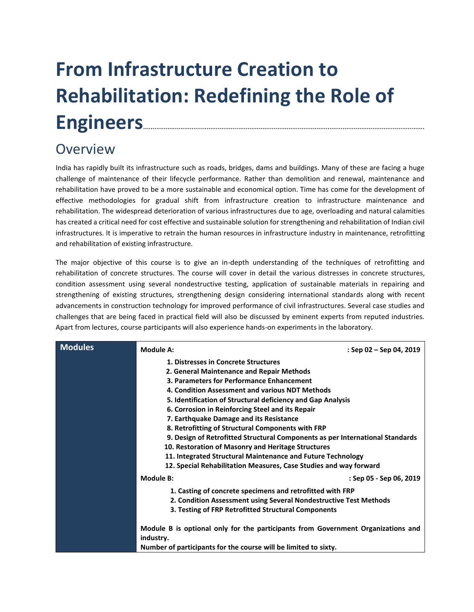# **From Infrastructure Creation to Rehabilitation: Redefining the Role of Engineers**.......................................................................................................................................................

## Overview

India has rapidly built its infrastructure such as roads, bridges, dams and buildings. Many of these are facing a huge challenge of maintenance of their lifecycle performance. Rather than demolition and renewal, maintenance and rehabilitation have proved to be a more sustainable and economical option. Time has come for the development of effective methodologies for gradual shift from infrastructure creation to infrastructure maintenance and rehabilitation. The widespread deterioration of various infrastructures due to age, overloading and natural calamities has created a critical need for cost effective and sustainable solution for strengthening and rehabilitation of Indian civil infrastructures. It is imperative to retrain the human resources in infrastructure industry in maintenance, retrofitting and rehabilitation of existing infrastructure.

The major objective of this course is to give an in-depth understanding of the techniques of retrofitting and rehabilitation of concrete structures. The course will cover in detail the various distresses in concrete structures, condition assessment using several nondestructive testing, application of sustainable materials in repairing and strengthening of existing structures, strengthening design considering international standards along with recent advancements in construction technology for improved performance of civil infrastructures. Several case studies and challenges that are being faced in practical field will also be discussed by eminent experts from reputed industries. Apart from lectures, course participants will also experience hands-on experiments in the laboratory.

| <b>Modules</b> | <b>Module A:</b>                                                                 | : Sep $02$ – Sep 04, 2019 |
|----------------|----------------------------------------------------------------------------------|---------------------------|
|                | 1. Distresses in Concrete Structures                                             |                           |
|                | 2. General Maintenance and Repair Methods                                        |                           |
|                | 3. Parameters for Performance Enhancement                                        |                           |
|                | 4. Condition Assessment and various NDT Methods                                  |                           |
|                | 5. Identification of Structural deficiency and Gap Analysis                      |                           |
|                | 6. Corrosion in Reinforcing Steel and its Repair                                 |                           |
|                | 7. Earthquake Damage and its Resistance                                          |                           |
|                | 8. Retrofitting of Structural Components with FRP                                |                           |
|                | 9. Design of Retrofitted Structural Components as per International Standards    |                           |
|                | 10. Restoration of Masonry and Heritage Structures                               |                           |
|                | 11. Integrated Structural Maintenance and Future Technology                      |                           |
|                | 12. Special Rehabilitation Measures, Case Studies and way forward                |                           |
|                | Module B:                                                                        | : Sep 05 - Sep 06, 2019   |
|                | 1. Casting of concrete specimens and retrofitted with FRP                        |                           |
|                | 2. Condition Assessment using Several Nondestructive Test Methods                |                           |
|                | 3. Testing of FRP Retrofitted Structural Components                              |                           |
|                |                                                                                  |                           |
|                | Module B is optional only for the participants from Government Organizations and |                           |
|                | industry.                                                                        |                           |
|                | Number of participants for the course will be limited to sixty.                  |                           |